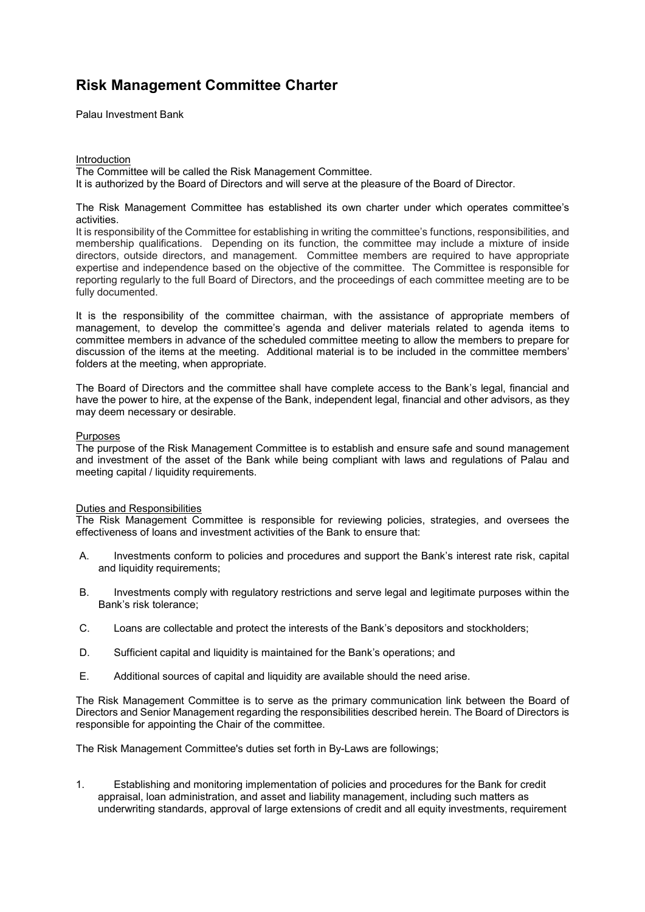Palau Investment Bank

#### Introduction The Committee will be called the Risk Management Committee. It is authorized by the Board of Directors and will serve at the pleasure of the Board of Director.

#### The Risk Management Committee has established its own charter under which operates committee's activities.

It is responsibility of the Committee for establishing in writing the committee's functions, responsibilities, and membership qualifications. Depending on its function, the committee may include a mixture of inside directors, outside directors, and management. Committee members are required to have appropriate expertise and independence based on the objective of the committee. The Committee is responsible for reporting regularly to the full Board of Directors, and the proceedings of each committee meeting are to be fully documented.

It is the responsibility of the committee chairman, with the assistance of appropriate members of management, to develop the committee's agenda and deliver materials related to agenda items to committee members in advance of the scheduled committee meeting to allow the members to prepare for discussion of the items at the meeting. Additional material is to be included in the committee members' folders at the meeting, when appropriate.

The Board of Directors and the committee shall have complete access to the Bank's legal, financial and have the power to hire, at the expense of the Bank, independent legal, financial and other advisors, as they may deem necessary or desirable.

### Purposes

The purpose of the Risk Management Committee is to establish and ensure safe and sound management and investment of the asset of the Bank while being compliant with laws and regulations of Palau and meeting capital / liquidity requirements.

### Duties and Responsibilities

The Risk Management Committee is responsible for reviewing policies, strategies, and oversees the effectiveness of loans and investment activities of the Bank to ensure that:

- A. Investments conform to policies and procedures and support the Bank's interest rate risk, capital and liquidity requirements;
- B. Investments comply with regulatory restrictions and serve legal and legitimate purposes within the Bank's risk tolerance;
- C. Loans are collectable and protect the interests of the Bank's depositors and stockholders;
- D. Sufficient capital and liquidity is maintained for the Bank's operations; and
- E. Additional sources of capital and liquidity are available should the need arise.

The Risk Management Committee is to serve as the primary communication link between the Board of Directors and Senior Management regarding the responsibilities described herein. The Board of Directors is responsible for appointing the Chair of the committee.

The Risk Management Committee's duties set forth in By-Laws are followings;

1. Establishing and monitoring implementation of policies and procedures for the Bank for credit appraisal, loan administration, and asset and liability management, including such matters as underwriting standards, approval of large extensions of credit and all equity investments, requirement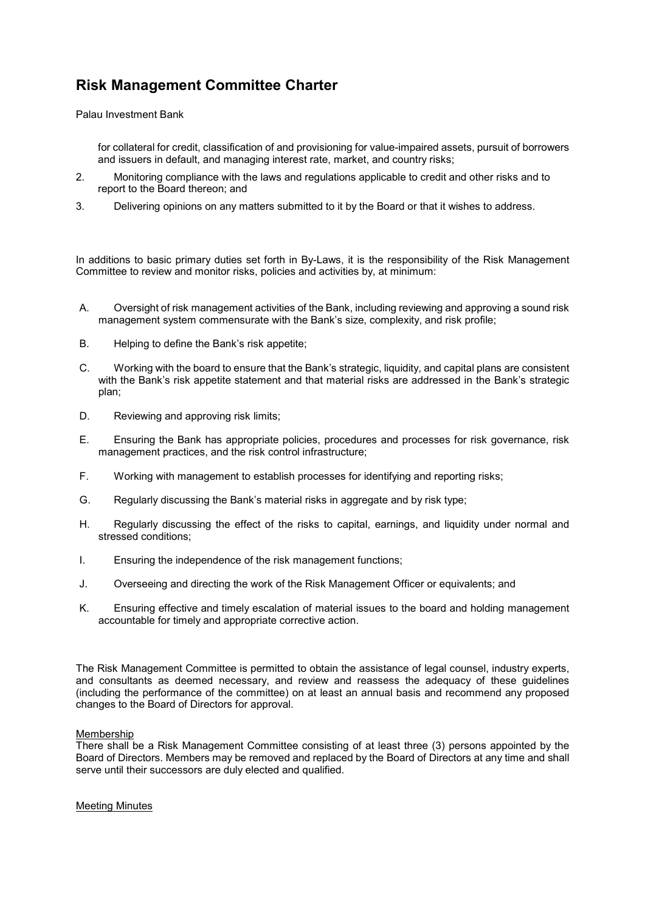Palau Investment Bank

for collateral for credit, classification of and provisioning for value-impaired assets, pursuit of borrowers and issuers in default, and managing interest rate, market, and country risks;

- 2. Monitoring compliance with the laws and regulations applicable to credit and other risks and to report to the Board thereon; and
- 3. Delivering opinions on any matters submitted to it by the Board or that it wishes to address.

In additions to basic primary duties set forth in By-Laws, it is the responsibility of the Risk Management Committee to review and monitor risks, policies and activities by, at minimum:

- A. Oversight of risk management activities of the Bank, including reviewing and approving a sound risk management system commensurate with the Bank's size, complexity, and risk profile;
- B. Helping to define the Bank's risk appetite;
- C. Working with the board to ensure that the Bank's strategic, liquidity, and capital plans are consistent with the Bank's risk appetite statement and that material risks are addressed in the Bank's strategic plan;
- D. Reviewing and approving risk limits;
- E. Ensuring the Bank has appropriate policies, procedures and processes for risk governance, risk management practices, and the risk control infrastructure;
- F. Working with management to establish processes for identifying and reporting risks;
- G. Regularly discussing the Bank's material risks in aggregate and by risk type;
- H. Regularly discussing the effect of the risks to capital, earnings, and liquidity under normal and stressed conditions;
- I. Ensuring the independence of the risk management functions;
- J. Overseeing and directing the work of the Risk Management Officer or equivalents; and
- K. Ensuring effective and timely escalation of material issues to the board and holding management accountable for timely and appropriate corrective action.

The Risk Management Committee is permitted to obtain the assistance of legal counsel, industry experts, and consultants as deemed necessary, and review and reassess the adequacy of these guidelines (including the performance of the committee) on at least an annual basis and recommend any proposed changes to the Board of Directors for approval.

### Membership

There shall be a Risk Management Committee consisting of at least three (3) persons appointed by the Board of Directors. Members may be removed and replaced by the Board of Directors at any time and shall serve until their successors are duly elected and qualified.

Meeting Minutes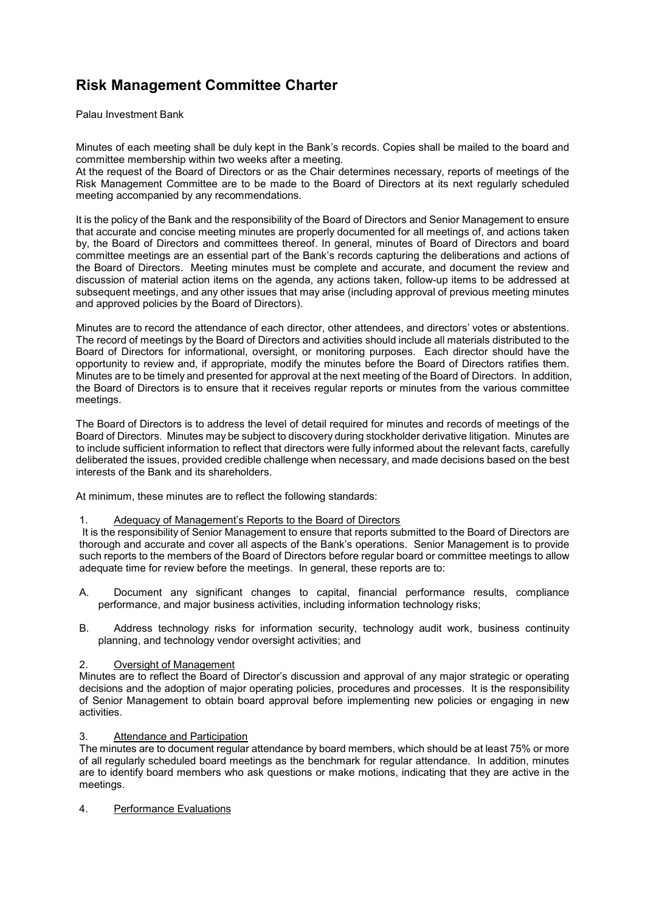Palau Investment Bank

Minutes of each meeting shall be duly kept in the Bank's records. Copies shall be mailed to the board and committee membership within two weeks after a meeting.

At the request of the Board of Directors or as the Chair determines necessary, reports of meetings of the Risk Management Committee are to be made to the Board of Directors at its next regularly scheduled meeting accompanied by any recommendations.

It is the policy of the Bank and the responsibility of the Board of Directors and Senior Management to ensure that accurate and concise meeting minutes are properly documented for all meetings of, and actions taken by, the Board of Directors and committees thereof. In general, minutes of Board of Directors and board committee meetings are an essential part of the Bank's records capturing the deliberations and actions of the Board of Directors. Meeting minutes must be complete and accurate, and document the review and discussion of material action items on the agenda, any actions taken, follow-up items to be addressed at subsequent meetings, and any other issues that may arise (including approval of previous meeting minutes and approved policies by the Board of Directors).

Minutes are to record the attendance of each director, other attendees, and directors' votes or abstentions. The record of meetings by the Board of Directors and activities should include all materials distributed to the Board of Directors for informational, oversight, or monitoring purposes. Each director should have the opportunity to review and, if appropriate, modify the minutes before the Board of Directors ratifies them. Minutes are to be timely and presented for approval at the next meeting of the Board of Directors. In addition, the Board of Directors is to ensure that it receives regular reports or minutes from the various committee meetings.

The Board of Directors is to address the level of detail required for minutes and records of meetings of the Board of Directors. Minutes may be subject to discovery during stockholder derivative litigation. Minutes are to include sufficient information to reflect that directors were fully informed about the relevant facts, carefully deliberated the issues, provided credible challenge when necessary, and made decisions based on the best interests of the Bank and its shareholders.

At minimum, these minutes are to reflect the following standards:

### 1. Adequacy of Management's Reports to the Board of Directors

 It is the responsibility of Senior Management to ensure that reports submitted to the Board of Directors are thorough and accurate and cover all aspects of the Bank's operations. Senior Management is to provide such reports to the members of the Board of Directors before regular board or committee meetings to allow adequate time for review before the meetings. In general, these reports are to:

- A. Document any significant changes to capital, financial performance results, compliance performance, and major business activities, including information technology risks;
- B. Address technology risks for information security, technology audit work, business continuity planning, and technology vendor oversight activities; and

### 2. Oversight of Management

Minutes are to reflect the Board of Director's discussion and approval of any major strategic or operating decisions and the adoption of major operating policies, procedures and processes. It is the responsibility of Senior Management to obtain board approval before implementing new policies or engaging in new activities.

### 3. Attendance and Participation

The minutes are to document regular attendance by board members, which should be at least 75% or more of all regularly scheduled board meetings as the benchmark for regular attendance. In addition, minutes are to identify board members who ask questions or make motions, indicating that they are active in the meetings.

4. Performance Evaluations